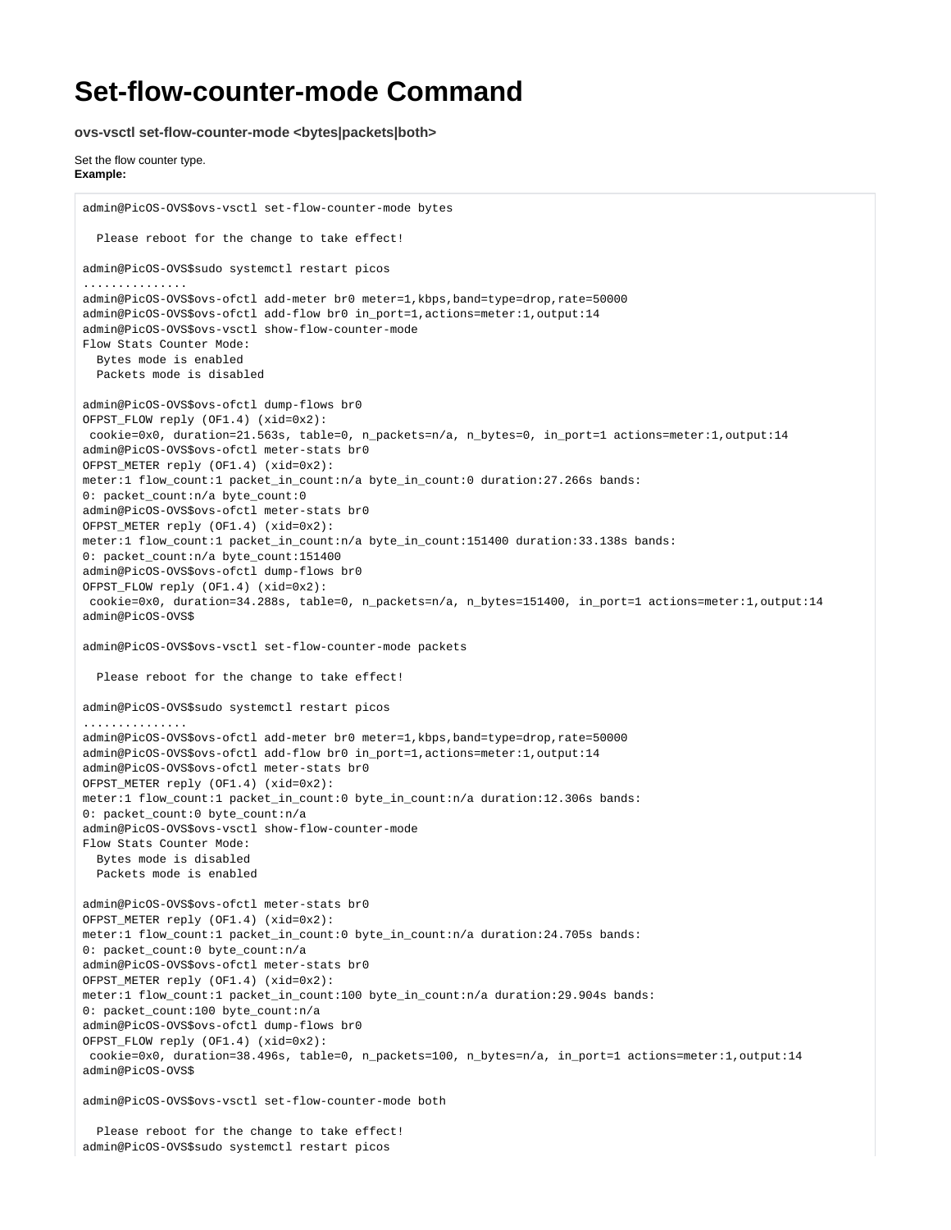## **Set-flow-counter-mode Command**

**ovs-vsctl set-flow-counter-mode <bytes|packets|both>**

Set the flow counter type. **Example:**

admin@PicOS-OVS\$ovs-vsctl set-flow-counter-mode bytes Please reboot for the change to take effect! admin@PicOS-OVS\$sudo systemctl restart picos ............... admin@PicOS-OVS\$ovs-ofctl add-meter br0 meter=1,kbps,band=type=drop,rate=50000 admin@PicOS-OVS\$ovs-ofctl add-flow br0 in\_port=1,actions=meter:1,output:14 admin@PicOS-OVS\$ovs-vsctl show-flow-counter-mode Flow Stats Counter Mode: Bytes mode is enabled Packets mode is disabled admin@PicOS-OVS\$ovs-ofctl dump-flows br0 OFPST\_FLOW reply (OF1.4) (xid=0x2): cookie=0x0, duration=21.563s, table=0, n\_packets=n/a, n\_bytes=0, in\_port=1 actions=meter:1,output:14 admin@PicOS-OVS\$ovs-ofctl meter-stats br0 OFPST\_METER reply (OF1.4) (xid=0x2): meter:1 flow\_count:1 packet\_in\_count:n/a byte\_in\_count:0 duration:27.266s bands: 0: packet\_count:n/a byte\_count:0 admin@PicOS-OVS\$ovs-ofctl meter-stats br0 OFPST\_METER reply (OF1.4) (xid=0x2): meter:1 flow\_count:1 packet\_in\_count:n/a byte\_in\_count:151400 duration:33.138s bands: 0: packet\_count:n/a byte\_count:151400 admin@PicOS-OVS\$ovs-ofctl dump-flows br0 OFPST\_FLOW reply (OF1.4) (xid=0x2): cookie=0x0, duration=34.288s, table=0, n\_packets=n/a, n\_bytes=151400, in\_port=1 actions=meter:1,output:14 admin@PicOS-OVS\$ admin@PicOS-OVS\$ovs-vsctl set-flow-counter-mode packets Please reboot for the change to take effect! admin@PicOS-OVS\$sudo systemctl restart picos ............... admin@PicOS-OVS\$ovs-ofctl add-meter br0 meter=1,kbps,band=type=drop,rate=50000 admin@PicOS-OVS\$ovs-ofctl add-flow br0 in\_port=1,actions=meter:1,output:14 admin@PicOS-OVS\$ovs-ofctl meter-stats br0 OFPST\_METER reply (OF1.4) (xid=0x2): meter:1 flow\_count:1 packet\_in\_count:0 byte\_in\_count:n/a duration:12.306s bands: 0: packet\_count:0 byte\_count:n/a admin@PicOS-OVS\$ovs-vsctl show-flow-counter-mode Flow Stats Counter Mode: Bytes mode is disabled Packets mode is enabled admin@PicOS-OVS\$ovs-ofctl meter-stats br0 OFPST\_METER reply (OF1.4) (xid=0x2): meter:1 flow\_count:1 packet\_in\_count:0 byte\_in\_count:n/a duration:24.705s bands: 0: packet\_count:0 byte\_count:n/a admin@PicOS-OVS\$ovs-ofctl meter-stats br0 OFPST\_METER reply (OF1.4) (xid=0x2): meter:1 flow\_count:1 packet\_in\_count:100 byte\_in\_count:n/a duration:29.904s bands: 0: packet\_count:100 byte\_count:n/a admin@PicOS-OVS\$ovs-ofctl dump-flows br0 OFPST\_FLOW reply (OF1.4) (xid=0x2): cookie=0x0, duration=38.496s, table=0, n\_packets=100, n\_bytes=n/a, in\_port=1 actions=meter:1,output:14 admin@PicOS-OVS\$ admin@PicOS-OVS\$ovs-vsctl set-flow-counter-mode both

 Please reboot for the change to take effect! admin@PicOS-OVS\$sudo systemctl restart picos